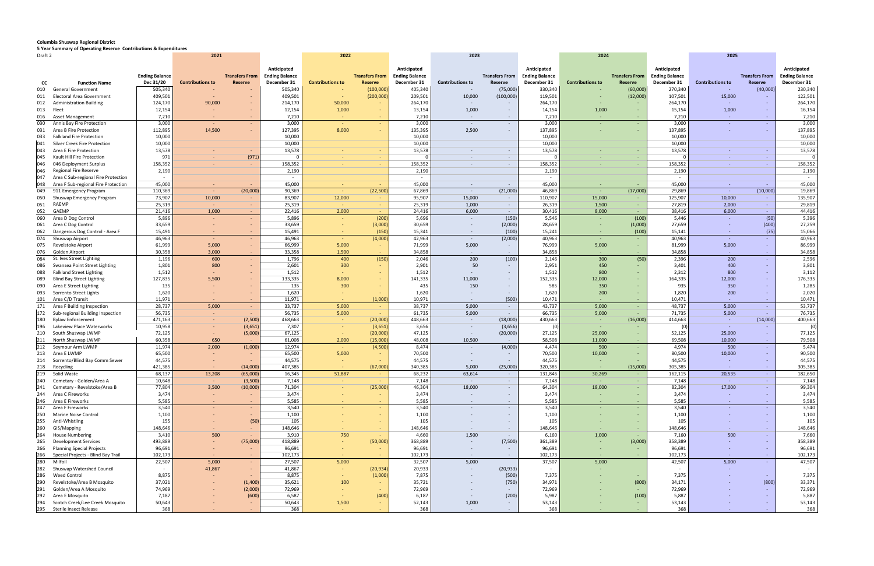## **Columbia Shuswap Regional District**

**5 Year Summary of Operating Reserve Contributions & Expenditures**

| Draft 2<br>2021 |                                                        |                       |                         |                                  | 2022                                 |                          |                       | 2023                                 |                         |                          | 2024                                 |                         | 2025                  |                                      |                         |                       |                                      |
|-----------------|--------------------------------------------------------|-----------------------|-------------------------|----------------------------------|--------------------------------------|--------------------------|-----------------------|--------------------------------------|-------------------------|--------------------------|--------------------------------------|-------------------------|-----------------------|--------------------------------------|-------------------------|-----------------------|--------------------------------------|
|                 |                                                        | <b>Ending Balance</b> |                         | <b>Transfers From</b>            | Anticipated<br><b>Ending Balance</b> |                          | <b>Transfers From</b> | Anticipated<br><b>Ending Balance</b> |                         | <b>Transfers From</b>    | Anticipated<br><b>Ending Balance</b> |                         | <b>Transfers From</b> | Anticipated<br><b>Ending Balance</b> |                         | <b>Transfers From</b> | Anticipated<br><b>Ending Balance</b> |
| cc              | <b>Function Name</b>                                   | Dec 31/20             | <b>Contributions to</b> | Reserve                          | December 31                          | <b>Contributions to</b>  | <b>Reserve</b>        | December 31                          | <b>Contributions to</b> | Reserve                  | December 31                          | <b>Contributions to</b> | Reserve               | December 31                          | <b>Contributions to</b> | Reserve               | December 31                          |
| 010             | <b>General Government</b>                              | 505,340               |                         |                                  | 505,340                              |                          | (100,000)             | 405,340                              |                         | (75,000)                 | 330,340                              |                         | (60,000)              | 270,340                              |                         | (40,000)              | 230,340                              |
| 011             | Electoral Area Government                              | 409,501               |                         |                                  | 409,501                              |                          | (200,000)             | 209,501                              | 10,000                  | (100,000)                | 119,501                              |                         | (12,000)              | 107,501                              | 15,000                  |                       | 122,501                              |
| 012             | <b>Administration Building</b>                         | 124,170               | 90,000                  |                                  | 214,170                              | 50,000                   |                       | 264,170                              | $\sim$ $ \sim$          |                          | 264,170                              |                         |                       | 264,170                              | $\sim$                  |                       | 264,170                              |
| 013             | Fleet                                                  | 12,154                |                         |                                  | 12,154                               | 1,000                    |                       | 13,154                               | 1,000                   |                          | 14,154                               | 1,000                   |                       | 15,154                               | 1,000                   |                       | 16,154                               |
| 016             | <b>Asset Management</b>                                | 7,210                 |                         | $\sim$                           | 7,210                                | $\sim$                   |                       | 7,210                                | $\sim$                  | $\sim$                   | 7,210                                | $\sim$                  | $\sim$                | 7,210                                | $\sim$                  | $\sim$                | 7,210                                |
| 030             | Annis Bay Fire Protection                              | 3,000                 | $\sim$                  | $\sim$                           | 3,000                                |                          |                       | 3,000                                |                         | $\sim$                   | 3,000                                |                         | $\sim$                | 3,000                                | $\sim$                  | $\sim$                | 3,000                                |
| 031             | Area B Fire Protection                                 | 112,895               | 14,500                  | $\sim$                           | 127,395                              | 8,000                    |                       | 135,395                              | 2,500                   | $\sim$ 10 $\pm$          | 137,895                              |                         |                       | 137,895                              |                         | $\sim$                | 137,895                              |
| 033             | <b>Falkland Fire Protection</b>                        | 10,000                |                         |                                  | 10,000                               |                          |                       | 10,000                               |                         |                          | 10,000                               |                         |                       | 10,000                               |                         |                       | 10,000                               |
| 041             | Silver Creek Fire Protection<br>Area E Fire Protection | 10,000<br>13,578      | $\sim$                  |                                  | 10,000<br>13,578                     |                          |                       | 10,000<br>13,578                     |                         | $\sim$                   | 10,000<br>13,578                     |                         |                       | 10,000<br>13,578                     | $\sim$ $-$              | $\sim$                | 10,000<br>13,578                     |
| 043<br>045      | Kault Hill Fire Protection                             | 971                   |                         | (971)                            |                                      | <b>Section</b>           |                       |                                      |                         | $\sim$                   |                                      |                         | х.                    |                                      | $\sim$                  | $\sim$ $-$            | $\Omega$                             |
| 046             | 046 Deployment Surplus                                 | 158,352               |                         |                                  | 158,352                              | car.                     |                       | 158,352                              |                         | $\sim$                   | 158,352                              |                         |                       | 158,352                              | na.                     | <b>CO</b>             | 158,352                              |
| 046             | <b>Regional Fire Reserve</b>                           | 2,190                 |                         |                                  | 2,190                                |                          |                       | 2,190                                |                         |                          | 2,190                                |                         |                       | 2,190                                |                         |                       | 2,190                                |
| 047             | Area C Sub-regional Fire Protection                    |                       |                         |                                  | $\sim$                               |                          |                       | $\sim$                               |                         |                          | $\sim$                               |                         |                       | $\overline{\phantom{a}}$             |                         |                       | $\sim$                               |
| 048             | Area F Sub-regional Fire Protection                    | 45,000                |                         |                                  | 45,000                               | $\sim$                   |                       | 45,000                               | $\sim$                  | $\sim$ $-$               | 45,000                               |                         |                       | 45,000                               | $\sim$ $ \sim$          | <b>CO</b>             | 45,000                               |
| 049             | 911 Emergency Program                                  | 110,369               |                         | (20,000)                         | 90,369                               |                          | (22, 500)             | 67,869                               | $\sim 10^{-1}$          | (21,000)                 | 46,869                               |                         | (17,000)              | 29,869                               | $\sim 10^{-1}$          | (10,000)              | 19,869                               |
| 050             | Shuswap Emergency Program                              | 73,907                | 10,000                  | $\sim$                           | 83,907                               | 12,000                   |                       | 95,907                               | 15,000                  | $\sim$ $-$               | 110,907                              | 15,000                  |                       | 125,907                              | 10,000                  | $\sim$                | 135,907                              |
| 051             | RAEMP                                                  | 25,319                | $\sim$                  | $\sim$                           | 25,319                               | car.                     |                       | 25,319                               | 1,000                   | $\sim$ $ \sim$           | 26,319                               | 1,500                   |                       | 27,819                               | 2,000                   | $\sim$ $-$            | 29,819                               |
| 052             | GAEMP                                                  | 21,416                | 1,000                   | $\sim$                           | 22,416                               | 2,000                    |                       | 24,416                               | 6,000                   | $\sim 100$               | 30,416                               | 8,000                   |                       | 38,416                               | 6,000                   | $\sim$                | 44,416                               |
| 060             | Area D Dog Control                                     | 5,896                 |                         |                                  | 5,896                                | car.                     | (200)                 | 5,696                                |                         | (150)                    | 5,546                                | $\sim$                  | (100)                 | 5,446                                | $\sim$ $ \sim$          | (50)                  | 5,396                                |
| 061             | Area C Dog Control                                     | 33,659                |                         |                                  | 33,659                               |                          | (3,000)               | 30,659                               |                         | (2,000)                  | 28,659                               |                         | (1,000)               | 27,659                               | $\sim$                  | (400)                 | 27,259                               |
| 062             | Dangerous Dog Control - Area F                         | 15,491                |                         | $\sim$                           | 15,491                               |                          | (150)                 | 15,341                               | $\sim$                  | (100)                    | 15,241                               |                         | (100)                 | 15,141                               | <b>COL</b>              | (75)                  | 15,066                               |
| 074             | Shuswap Airport                                        | 46,963                | $\sim$                  | $\sim$                           | 46,963                               |                          | (4,000)               | 42,963                               | $\sim$                  | (2,000)                  | 40,963                               | $\sim$                  |                       | 40,963                               | $\sim$                  | $\sim$                | 40,963                               |
| 075             | Revelstoke Airport                                     | 61,999                | 5,000                   |                                  | 66,999                               | 5,000                    |                       | 71,999                               | 5,000                   | $\sim$                   | 76,999                               | 5,000                   |                       | 81,999                               | 5,000                   | $\sim$                | 86,999                               |
| 076<br>084      | Golden Airport<br>St. Ives Street Lighting             | 30,358<br>1,196       | 3,000<br>600            | $\sim$<br>$\sim$                 | 33,358<br>1,796                      | 1,500<br>400             | (150)                 | 34,858<br>2,046                      | $\sim$<br>200           | $\sim$ 10 $\pm$<br>(100) | 34,858<br>2,146                      | $\sim$<br>300           | н.<br>(50)            | 34,858<br>2,396                      | $\sim$<br>200           | $\sim$<br>$\sim$      | 34,858<br>2,596                      |
| 086             | Swansea Point Street Lighting                          | 1,801                 | 800                     |                                  | 2,601                                | 300                      |                       | 2,901                                | 50                      |                          | 2,951                                | 450                     |                       | 3,401                                | 400                     | $\sim$                | 3,801                                |
| 088             | <b>Falkland Street Lighting</b>                        | 1,512                 |                         |                                  | 1,512                                |                          |                       | 1,512                                |                         |                          | 1,512                                | 800                     |                       | 2,312                                | 800                     | $\sim$                | 3,112                                |
| 089             | <b>Blind Bay Street Lighting</b>                       | 127,835               | 5,500                   | $\sim$                           | 133,335                              | 8,000                    |                       | 141,335                              | 11,000                  |                          | 152,335                              | 12,000                  | $\sim$                | 164,335                              | 12,000                  | $\sim$                | 176,335                              |
| 090             | Area E Street Lighting                                 | 135                   |                         |                                  | 135                                  | 300                      |                       | 435                                  | 150                     |                          | 585                                  | 350                     |                       | 935                                  | 350                     |                       | 1,285                                |
| 093             | Sorrento Street Lights                                 | 1,620                 |                         | $\sim$                           | 1,620                                |                          |                       | 1,620                                |                         | $\sim$                   | 1,620                                | 200                     |                       | 1,820                                | 200                     |                       | 2,020                                |
| 101             | Area C/D Transit                                       | 11,971                |                         | $\sim$                           | 11,971                               |                          | (1,000)               | 10,971                               |                         | (500)                    | 10,471                               |                         | $\sim$                | 10,471                               | . .                     | $\sim$                | 10,471                               |
| 171             | Area F Building Inspection                             | 28,737                | 5,000                   | $\sim$                           | 33,737                               | 5,000                    |                       | 38,737                               | 5,000                   | $\sim$                   | 43,737                               | 5,000                   | $\sim$                | 48,737                               | 5,000                   | $\sim$ $-$            | 53,737                               |
| 172             | Sub-regional Building Inspection                       | 56,735                | $\sim$                  |                                  | 56,735                               | 5,000                    | $\sim$                | 61,735                               | 5,000                   | $\sim$ $-$               | 66,735                               | 5,000                   |                       | 71,735                               | 5,000                   | $\sim$                | 76,735                               |
| 180             | <b>Bylaw Enforcement</b>                               | 471,163               | $\sim$                  | (2,500)                          | 468,663                              | <b>Contract</b>          | (20,000)              | 448,663                              | $\sim$                  | (18,000)                 | 430,663                              |                         | (16,000)              | 414,663                              | <b>Contract</b>         | (14,000)              | 400,663                              |
| 196             | Lakeview Place Waterworks                              | 10,958                |                         | (3,651)                          | 7,307                                |                          | (3,651)               | 3,656                                | $\sim$                  | (3,656)                  | (C                                   |                         |                       |                                      | $\sim 10^{-1}$          | $\sim$                | (0)                                  |
| 210             | South Shuswap LWMP                                     | 72,125                | $\sim$                  | (5,000)                          | 67,125                               |                          | (20,000)              | 47,125                               |                         | (20,000)                 | 27,125                               | 25,000                  |                       | 52,125                               | 25,000                  | $\sim$                | 77,125                               |
| 211             | North Shuswap LWMP                                     | 60,358                | 650                     |                                  | 61,008                               | 2,000                    | (15,000)              | 48,008                               | 10,500                  | $\sim$ $-$               | 58,508                               | 11,000                  | н.                    | 69,508                               | 10,000                  | $\sim$                | 79,508                               |
| 212             | Seymour Arm LWMP<br>Area E LWMP                        | 11,974<br>65,500      | 2,000                   | (1,000)                          | 12,974<br>65,500                     | <b>Contract</b><br>5,000 | (4,500)               | 8,474<br>70,500                      | $\sim$                  | (4,000)                  | 4,474<br>70,500                      | 500<br>10,000           | $\sim$                | 4,974<br>80,500                      | 500                     | $\sim$                | 5,474<br>90,500                      |
| 213<br>214      | Sorrento/Blind Bay Comm Sewer                          | 44,575                |                         | $\sim$                           | 44,575                               |                          |                       | 44,575                               | $\sim$                  | $\sim$                   | 44,575                               |                         |                       | 44,575                               | 10,000<br>ж.            |                       | 44,575                               |
|                 | 218 Recycling                                          | 421,385               |                         | (14,000)                         | 407,385                              |                          | (67,000)              | 340,385                              | 5,000                   | (25,000)                 | 320,385                              |                         | (15,000)              | 305,385                              | <b>COL</b>              |                       | 305,385                              |
|                 | 219 Solid Waste                                        | 68,137                | 13,208                  | (65,000)                         | 16,345                               | 51,887                   |                       | 68,232                               | 63,614                  | $\sim$                   | 131,846                              | 30,269                  |                       | 162,115                              | 20,535                  |                       | 182,650                              |
| 240             | Cemetary - Golden/Area A                               | 10,648                | $\sim$                  | (3,500)                          | 7,148                                | $\sim$                   |                       | 7,148                                | $\sim$                  | $\sim$                   | 7,148                                | $\sim$                  |                       | 7,148                                | <b>College</b>          | $\sim$                | 7,148                                |
| 241             | Cemetary - Revelstoke/Area B                           | 77,804                | 3,500                   | (10,000)                         | 71,304                               |                          | (25,000)              | 46,304                               | 18,000                  | $\sim$                   | 64,304                               | 18,000                  |                       | 82,304                               | 17,000                  | $\sim$                | 99,304                               |
| 244             | Area C Fireworks                                       | 3,474                 | $\sim$                  | $\sim$                           | 3,474                                |                          |                       | 3,474                                |                         |                          | 3,474                                |                         |                       | 3,474                                | $\sim$ $ \sim$          | $\sim$                | 3,474                                |
| 246             | Area E Fireworks                                       | 5,585                 |                         |                                  | 5,585                                |                          |                       | 5,585                                | $\sim$                  |                          | 5,585                                |                         |                       | 5,585                                | $\sim$ $-$              | $\sim$                | 5,585                                |
| 247             | Area F Fireworks                                       | 3,540                 |                         | $\sim$                           | 3,540                                |                          |                       | 3,540                                | $\sim$                  | $\sim$                   | 3,540                                |                         | $\sim$                | 3,540                                | $\sim$                  | $\sim$                | 3,540                                |
| 250             | <b>Marine Noise Control</b>                            | 1,100                 |                         | $\sim$                           | 1,100                                |                          |                       | 1,100                                |                         |                          | 1,100                                |                         |                       | 1,100                                |                         | $\sim$                | 1,100                                |
| 255             | Anti-Whistling                                         | 155                   |                         | (50)                             | 105                                  |                          |                       | 105                                  |                         |                          | 105                                  |                         |                       | 105                                  |                         | $\sim$                | 105                                  |
| 260             | GIS/Mapping                                            | 148,646               | $\sim$                  | $\sim$                           | 148,646                              |                          | $\sim$                | 148,646                              | $\sim$                  | $\sim$                   | 148,646                              | $\sim$                  |                       | 148,646                              | $\sim$                  | $\sim$                | 148,646                              |
| 264             | <b>House Numbering</b>                                 | 3,410                 | 500                     |                                  | 3,910                                | 750                      |                       | 4,660                                | 1,500                   | $\sim$ $ \sim$           | 6,160                                | 1,000                   |                       | 7,160                                | 500                     | $\sim$                | 7,660                                |
| 265             | <b>Development Services</b>                            | 493,889               | $\sim$                  | (75,000)                         | 418,889                              |                          | (50,000)              | 368,889                              | $\sim$                  | (7,500)                  | 361,389                              | $\sim$                  | (3,000)               | 358,389                              | $\sim$                  | $\sim$                | 358,389                              |
| 266             | <b>Planning Special Projects</b>                       | 96,691                |                         |                                  | 96,691                               |                          |                       | 96,691                               |                         |                          | 96,691                               |                         |                       | 96,691                               | ж.                      | $\sim$                | 96,691                               |
| 266<br>280      | Special Projects - Blind Bay Trail<br>Milfoil          | 102,173<br>22,507     | $\sim$<br>5,000         | $\sim$ $ \sim$<br>$\sim$ $ \sim$ | 102,173<br>27,507                    | 5,000                    |                       | 102,173<br>32,507                    | $\sim$<br>5,000         | $\sim$ $-$               | 102,173<br>37,507                    | $\sim$<br>5,000         | $\sim$                | 102,173<br>42,507                    | $\sim$<br>5,000         | $\sim$<br>$\sim$      | 102,173<br>47,507                    |
| 282             | Shuswap Watershed Council                              | $\sim$                | 41,867                  | $\sim$                           | 41,867                               |                          | (20, 934)             | 20,933                               |                         | (20, 933)                |                                      | $\sim$                  |                       |                                      | ж.                      |                       |                                      |
| 286             | <b>Weed Control</b>                                    | 8,875                 |                         | $\sim$                           | 8,875                                |                          | (1,000)               | 7,875                                |                         | (500)                    | 7,375                                |                         |                       | 7,375                                |                         | $\sim$                | 7,375                                |
| 290             | Revelstoke/Area B Mosquito                             | 37,021                |                         | (1,400)                          | 35,621                               | 100                      |                       | 35,721                               |                         | (750)                    | 34,971                               |                         | (800)                 | 34,171                               |                         | (800)                 | 33,371                               |
| 291             | Golden/Area A Mosquito                                 | 74,969                |                         | (2,000)                          | 72,969                               |                          |                       | 72,969                               | $\sim$                  |                          | 72,969                               |                         | $\sim$                | 72,969                               | ж.                      | $\sim$                | 72,969                               |
| 292             | Area E Mosquito                                        | 7,187                 |                         | (600)                            | 6,587                                |                          | (400)                 | 6,187                                |                         | (200)                    | 5,987                                |                         | (100)                 | 5,887                                |                         | $\sim$                | 5,887                                |
| 294             | Scotch Creek/Lee Creek Mosquito                        | 50,643                |                         | $\sim$                           | 50,643                               | 1,500                    | ٠                     | 52,143                               | 1,000                   | $\sim$                   | 53,143                               |                         | $\sim$                | 53,143                               |                         | $\sim$                | 53,143                               |
|                 | 295 Sterile Insect Release                             | 368                   |                         | $\sim$                           | 368                                  |                          |                       | 368                                  | $\sim$                  |                          | 368                                  |                         |                       | 368                                  | ж.                      | $\sim$                | 368                                  |